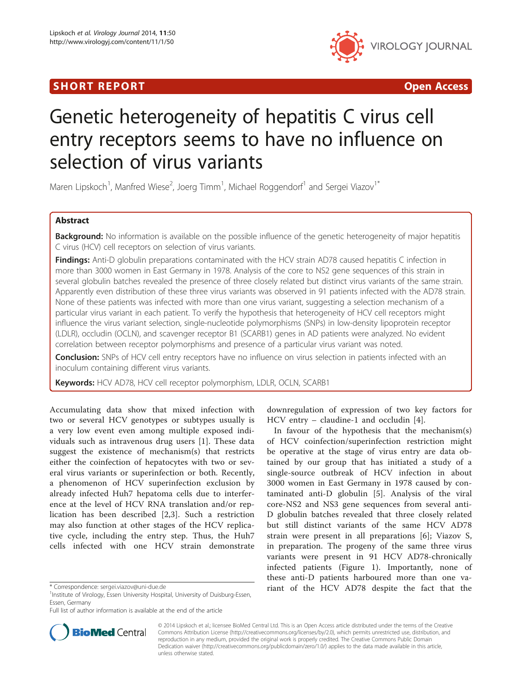# **SHORT REPORT CONSUMING THE SHORT CONSUMING THE SHORT CONSUMING THE SHORT CONSUMING THE SHORT CONSUMING THE SHO**



# Genetic heterogeneity of hepatitis C virus cell entry receptors seems to have no influence on selection of virus variants

Maren Lipskoch<sup>1</sup>, Manfred Wiese<sup>2</sup>, Joerg Timm<sup>1</sup>, Michael Roggendorf<sup>1</sup> and Sergei Viazov<sup>1\*</sup>

# Abstract

Background: No information is available on the possible influence of the genetic heterogeneity of major hepatitis C virus (HCV) cell receptors on selection of virus variants.

Findings: Anti-D globulin preparations contaminated with the HCV strain AD78 caused hepatitis C infection in more than 3000 women in East Germany in 1978. Analysis of the core to NS2 gene sequences of this strain in several globulin batches revealed the presence of three closely related but distinct virus variants of the same strain. Apparently even distribution of these three virus variants was observed in 91 patients infected with the AD78 strain. None of these patients was infected with more than one virus variant, suggesting a selection mechanism of a particular virus variant in each patient. To verify the hypothesis that heterogeneity of HCV cell receptors might influence the virus variant selection, single-nucleotide polymorphisms (SNPs) in low-density lipoprotein receptor (LDLR), occludin (OCLN), and scavenger receptor B1 (SCARB1) genes in AD patients were analyzed. No evident correlation between receptor polymorphisms and presence of a particular virus variant was noted.

**Conclusion:** SNPs of HCV cell entry receptors have no influence on virus selection in patients infected with an inoculum containing different virus variants.

Keywords: HCV AD78, HCV cell receptor polymorphism, LDLR, OCLN, SCARB1

Accumulating data show that mixed infection with two or several HCV genotypes or subtypes usually is a very low event even among multiple exposed individuals such as intravenous drug users [[1\]](#page-3-0). These data suggest the existence of mechanism(s) that restricts either the coinfection of hepatocytes with two or several virus variants or superinfection or both. Recently, a phenomenon of HCV superinfection exclusion by already infected Huh7 hepatoma cells due to interference at the level of HCV RNA translation and/or replication has been described [\[2](#page-3-0),[3\]](#page-3-0). Such a restriction may also function at other stages of the HCV replicative cycle, including the entry step. Thus, the Huh7 cells infected with one HCV strain demonstrate



downregulation of expression of two key factors for

of HCV coinfection/superinfection restriction might be operative at the stage of virus entry are data obtained by our group that has initiated a study of a single-source outbreak of HCV infection in about 3000 women in East Germany in 1978 caused by contaminated anti-D globulin [\[5](#page-3-0)]. Analysis of the viral core-NS2 and NS3 gene sequences from several anti-D globulin batches revealed that three closely related but still distinct variants of the same HCV AD78 strain were present in all preparations [\[6](#page-3-0)]; Viazov S, in preparation. The progeny of the same three virus variants were present in 91 HCV AD78-chronically infected patients (Figure [1\)](#page-1-0). Importantly, none of these anti-D patients harboured more than one va\* Correspondence: [sergei.viazov@uni-due.de](mailto:sergei.viazov@uni-due.de) **1988** riant of the HCV AD78 despite the fact that the



© 2014 Lipskoch et al.; licensee BioMed Central Ltd. This is an Open Access article distributed under the terms of the Creative Commons Attribution License [\(http://creativecommons.org/licenses/by/2.0\)](http://creativecommons.org/licenses/by/2.0), which permits unrestricted use, distribution, and reproduction in any medium, provided the original work is properly credited. The Creative Commons Public Domain Dedication waiver [\(http://creativecommons.org/publicdomain/zero/1.0/](http://creativecommons.org/publicdomain/zero/1.0/)) applies to the data made available in this article, unless otherwise stated.

<sup>&</sup>lt;sup>1</sup>Institute of Virology, Essen University Hospital, University of Duisburg-Essen, Essen, Germany

Full list of author information is available at the end of the article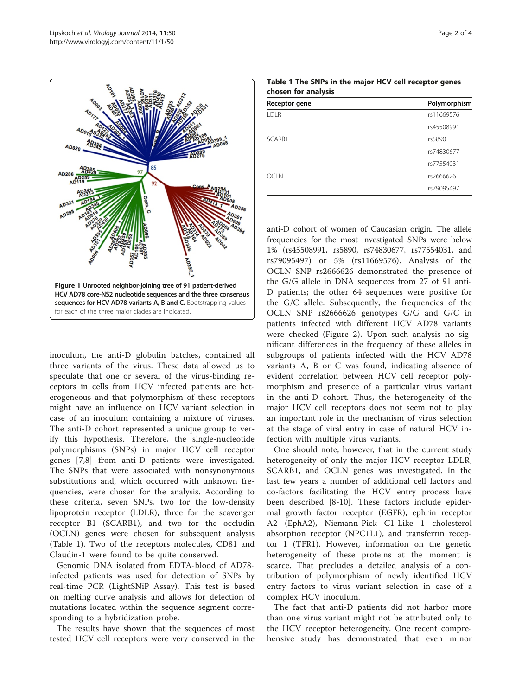<span id="page-1-0"></span>

inoculum, the anti-D globulin batches, contained all three variants of the virus. These data allowed us to speculate that one or several of the virus-binding receptors in cells from HCV infected patients are heterogeneous and that polymorphism of these receptors might have an influence on HCV variant selection in case of an inoculum containing a mixture of viruses. The anti-D cohort represented a unique group to verify this hypothesis. Therefore, the single-nucleotide polymorphisms (SNPs) in major HCV cell receptor genes [[7,8](#page-3-0)] from anti-D patients were investigated. The SNPs that were associated with nonsynonymous substitutions and, which occurred with unknown frequencies, were chosen for the analysis. According to these criteria, seven SNPs, two for the low-density lipoprotein receptor (LDLR), three for the scavenger receptor B1 (SCARB1), and two for the occludin (OCLN) genes were chosen for subsequent analysis (Table 1). Two of the receptors molecules, CD81 and Claudin-1 were found to be quite conserved.

Genomic DNA isolated from EDTA-blood of AD78 infected patients was used for detection of SNPs by real-time PCR (LightSNiP Assay). This test is based on melting curve analysis and allows for detection of mutations located within the sequence segment corresponding to a hybridization probe.

The results have shown that the sequences of most tested HCV cell receptors were very conserved in the

| Receptor gene | Polymorphism |  |  |  |  |
|---------------|--------------|--|--|--|--|
| <b>LDLR</b>   | rs11669576   |  |  |  |  |
|               | rs45508991   |  |  |  |  |
| SCARB1        | rs5890       |  |  |  |  |
|               | rs74830677   |  |  |  |  |
|               | rs77554031   |  |  |  |  |
| <b>OCLN</b>   | rs2666626    |  |  |  |  |
|               | rs79095497   |  |  |  |  |
|               |              |  |  |  |  |

| Table 1 The SNPs in the major HCV cell receptor genes |  |  |  |
|-------------------------------------------------------|--|--|--|
| chosen for analysis                                   |  |  |  |

anti-D cohort of women of Caucasian origin. The allele frequencies for the most investigated SNPs were below 1% (rs45508991, rs5890, rs74830677, rs77554031, and rs79095497) or 5% (rs11669576). Analysis of the OCLN SNP rs2666626 demonstrated the presence of the G/G allele in DNA sequences from 27 of 91 anti-D patients; the other 64 sequences were positive for the G/C allele. Subsequently, the frequencies of the OCLN SNP rs2666626 genotypes G/G and G/C in patients infected with different HCV AD78 variants were checked (Figure [2\)](#page-2-0). Upon such analysis no significant differences in the frequency of these alleles in subgroups of patients infected with the HCV AD78 variants A, B or C was found, indicating absence of evident correlation between HCV cell receptor polymorphism and presence of a particular virus variant in the anti-D cohort. Thus, the heterogeneity of the major HCV cell receptors does not seem not to play an important role in the mechanism of virus selection at the stage of viral entry in case of natural HCV infection with multiple virus variants.

One should note, however, that in the current study heterogeneity of only the major HCV receptor LDLR, SCARB1, and OCLN genes was investigated. In the last few years a number of additional cell factors and co-factors facilitating the HCV entry process have been described [[8-10](#page-3-0)]. These factors include epidermal growth factor receptor (EGFR), ephrin receptor A2 (EphA2), Niemann-Pick C1-Like 1 cholesterol absorption receptor (NPC1L1), and transferrin receptor 1 (TFR1). However, information on the genetic heterogeneity of these proteins at the moment is scarce. That precludes a detailed analysis of a contribution of polymorphism of newly identified HCV entry factors to virus variant selection in case of a complex HCV inoculum.

The fact that anti-D patients did not harbor more than one virus variant might not be attributed only to the HCV receptor heterogeneity. One recent comprehensive study has demonstrated that even minor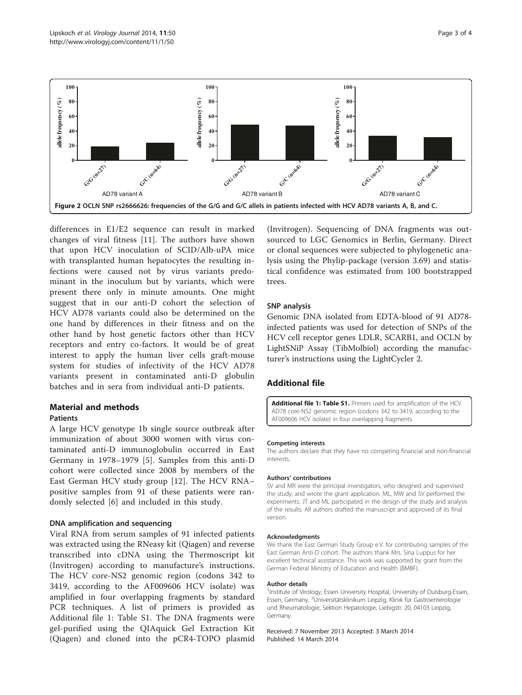<span id="page-2-0"></span>

differences in E1/E2 sequence can result in marked changes of viral fitness [[11\]](#page-3-0). The authors have shown that upon HCV inoculation of SCID/Alb-uPA mice with transplanted human hepatocytes the resulting infections were caused not by virus variants predominant in the inoculum but by variants, which were present there only in minute amounts. One might suggest that in our anti-D cohort the selection of HCV AD78 variants could also be determined on the one hand by differences in their fitness and on the other hand by host genetic factors other than HCV receptors and entry co-factors. It would be of great interest to apply the human liver cells graft-mouse system for studies of infectivity of the HCV AD78 variants present in contaminated anti-D globulin batches and in sera from individual anti-D patients.

# Material and methods

# Patients

A large HCV genotype 1b single source outbreak after immunization of about 3000 women with virus contaminated anti-D immunoglobulin occurred in East Germany in 1978–1979 [[5\]](#page-3-0). Samples from this anti-D cohort were collected since 2008 by members of the East German HCV study group [[12\]](#page-3-0). The HCV RNA– positive samples from 91 of these patients were randomly selected [[6\]](#page-3-0) and included in this study.

# DNA amplification and sequencing

Viral RNA from serum samples of 91 infected patients was extracted using the RNeasy kit (Qiagen) and reverse transcribed into cDNA using the Thermoscript kit (Invitrogen) according to manufacture's instructions. The HCV core-NS2 genomic region (codons 342 to 3419, according to the AF009606 HCV isolate) was amplified in four overlapping fragments by standard PCR techniques. A list of primers is provided as Additional file 1: Table S1. The DNA fragments were gel-purified using the QIAquick Gel Extraction Kit (Qiagen) and cloned into the pCR4-TOPO plasmid

(Invitrogen). Sequencing of DNA fragments was outsourced to LGC Genomics in Berlin, Germany. Direct or clonal sequences were subjected to phylogenetic analysis using the Phylip-package (version 3.69) and statistical confidence was estimated from 100 bootstrapped trees.

## SNP analysis

Genomic DNA isolated from EDTA-blood of 91 AD78 infected patients was used for detection of SNPs of the HCV cell receptor genes LDLR, SCARB1, and OCLN by LightSNiP Assay (TibMolbiol) according the manufacturer's instructions using the LightCycler 2.

# Additional file

[Additional file 1: Table S1.](http://www.biomedcentral.com/content/supplementary/1743-422X-11-50-S1.doc) Primers used for amplification of the HCV AD78 core-NS2 genomic region (codons 342 to 3419, according to the AF009606 HCV isolate) in four overlapping fragments.

#### Competing interests

The authors declare that they have no competing financial and non-financial interests.

### Authors' contributions

SV and MR were the principal investigators, who designed and supervised the study, and wrote the grant application. ML, MW and SV performed the experiments. JT and ML participated in the design of the study and analysis of the results. All authors drafted the manuscript and approved of its final version.

#### Acknowledgments

We thank the East German Study Group e.V. for contributing samples of the East German Anti-D cohort. The authors thank Mrs. Sina Luppus for her excellent technical assistance. This work was supported by grant from the German Federal Ministry of Education and Health (BMBF).

#### Author details

<sup>1</sup>Institute of Virology, Essen University Hospital, University of Duisburg-Essen Essen, Germany. <sup>2</sup>Universitätsklinikum Leipzig, Klinik für Gastroenterologie und Rheumatologie, Sektion Hepatologie, Liebigstr. 20, 04103 Leipzig, Germany.

Received: 7 November 2013 Accepted: 3 March 2014 Published: 14 March 2014